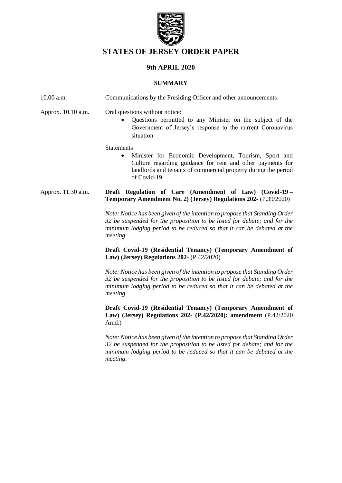

# **STATES OF JERSEY ORDER PAPER**

## **9th APRIL 2020**

#### **SUMMARY**

| 10.00 a.m.         | Communications by the Presiding Officer and other announcements                                                                                                                                                                              |  |
|--------------------|----------------------------------------------------------------------------------------------------------------------------------------------------------------------------------------------------------------------------------------------|--|
| Approx. 10.10 a.m. | Oral questions without notice:<br>Questions permitted to any Minister on the subject of the<br>$\bullet$<br>Government of Jersey's response to the current Coronavirus<br>situation                                                          |  |
|                    | <b>Statements</b><br>Minister for Economic Development, Tourism, Sport and<br>$\bullet$<br>Culture regarding guidance for rent and other payments for<br>landlords and tenants of commercial property during the period<br>of Covid-19       |  |
| Approx. 11.30 a.m. | Draft Regulation of Care (Amendment of Law) (Covid-19 -<br>Temporary Amendment No. 2) (Jersey) Regulations 202- (P.39/2020)                                                                                                                  |  |
|                    | Note: Notice has been given of the intention to propose that Standing Order<br>32 be suspended for the proposition to be listed for debate; and for the<br>minimum lodging period to be reduced so that it can be debated at the<br>meeting. |  |
|                    | Draft Covid-19 (Residential Tenancy) (Temporary Amendment of<br>Law) (Jersey) Regulations 202- $(P.42/2020)$                                                                                                                                 |  |
|                    | Note: Notice has been given of the intention to propose that Standing Order<br>32 be suspended for the proposition to be listed for debate; and for the<br>minimum lodging period to be reduced so that it can be debated at the<br>meeting. |  |
|                    | Draft Covid-19 (Residential Tenancy) (Temporary Amendment of<br>Law) (Jersey) Regulations 202- (P.42/2020): amendment (P.42/2020)<br>Amd.)                                                                                                   |  |
|                    | Note: Notice has been given of the intention to propose that Standing Order<br>32 be suspended for the proposition to be listed for debate; and for the<br>minimum lodging period to be reduced so that it can be debated at the<br>meeting. |  |
|                    |                                                                                                                                                                                                                                              |  |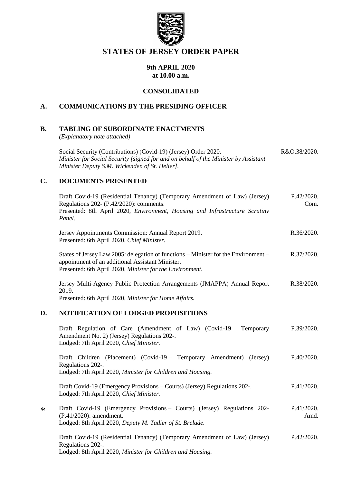

## **STATES OF JERSEY ORDER PAPER**

#### **9th APRIL 2020 at 10.00 a.m.**

#### **CONSOLIDATED**

## **A. COMMUNICATIONS BY THE PRESIDING OFFICER**

## **B. TABLING OF SUBORDINATE ENACTMENTS**

*(Explanatory note attached)*

| Social Security (Contributions) (Covid-19) (Jersey) Order 2020.                     | R&O.38/2020. |
|-------------------------------------------------------------------------------------|--------------|
| Minister for Social Security [signed for and on behalf of the Minister by Assistant |              |
| Minister Deputy S.M. Wickenden of St. Helier].                                      |              |

#### **C. DOCUMENTS PRESENTED**

\*

|        | Draft Covid-19 (Residential Tenancy) (Temporary Amendment of Law) (Jersey)<br>Regulations 202- (P.42/2020): comments.<br>Presented: 8th April 2020, Environment, Housing and Infrastructure Scrutiny<br>Panel. | P.42/2020.<br>Com. |
|--------|----------------------------------------------------------------------------------------------------------------------------------------------------------------------------------------------------------------|--------------------|
|        | Jersey Appointments Commission: Annual Report 2019.<br>Presented: 6th April 2020, Chief Minister.                                                                                                              | R.36/2020.         |
|        | States of Jersey Law 2005: delegation of functions – Minister for the Environment –<br>appointment of an additional Assistant Minister.<br>Presented: 6th April 2020, Minister for the Environment.            | R.37/2020.         |
|        | Jersey Multi-Agency Public Protection Arrangements (JMAPPA) Annual Report<br>2019.<br>Presented: 6th April 2020, Minister for Home Affairs.                                                                    | R.38/2020.         |
| D.     | NOTIFICATION OF LODGED PROPOSITIONS                                                                                                                                                                            |                    |
|        | Draft Regulation of Care (Amendment of Law) (Covid-19 – Temporary<br>Amendment No. 2) (Jersey) Regulations 202-.<br>Lodged: 7th April 2020, Chief Minister.                                                    | P.39/2020.         |
|        | Draft Children (Placement) (Covid-19 – Temporary Amendment) (Jersey)<br>Regulations 202-.<br>Lodged: 7th April 2020, Minister for Children and Housing.                                                        | P.40/2020.         |
|        | Draft Covid-19 (Emergency Provisions – Courts) (Jersey) Regulations 202-.<br>Lodged: 7th April 2020, Chief Minister.                                                                                           | P.41/2020.         |
| $\ast$ | Draft Covid-19 (Emergency Provisions - Courts) (Jersey) Regulations 202-<br>(P.41/2020): amendment.<br>Lodged: 8th April 2020, Deputy M. Tadier of St. Brelade.                                                | P.41/2020.<br>Amd. |
|        | Draft Covid-19 (Residential Tenancy) (Temporary Amendment of Law) (Jersey)<br>Regulations 202-.<br>Lodged: 8th April 2020, Minister for Children and Housing.                                                  | P.42/2020.         |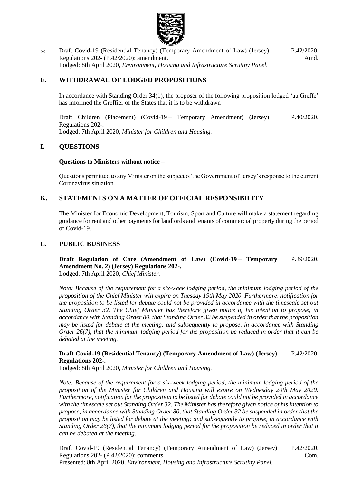

\* [Draft Covid-19 \(Residential Tenancy\) \(Temporary Amendment of Law\) \(Jersey\)](https://statesassembly.gov.je/AssemblyPropositions/2020/P.42-2020Amd.pdf)  Regulations 202- [\(P.42/2020\): amendment.](https://statesassembly.gov.je/AssemblyPropositions/2020/P.42-2020Amd.pdf) Lodged: 8th April 2020, *[Environment, Housing and Infrastructure Scrutiny Panel.](https://statesassembly.gov.je/AssemblyPropositions/2020/P.42-2020Amd.pdf)* [P.42/2020.](https://statesassembly.gov.je/AssemblyPropositions/2020/P.42-2020Amd.pdf) [Amd.](https://statesassembly.gov.je/AssemblyPropositions/2020/P.42-2020Amd.pdf)

### **E. WITHDRAWAL OF LODGED PROPOSITIONS**

In accordance with Standing Order 34(1), the proposer of the following proposition lodged 'au Greffe' has informed the Greffier of the States that it is to be withdrawn –

[Draft Children \(Placement\) \(Covid-19](https://statesassembly.gov.je/AssemblyPropositions/2020/P.40-2020.pdf) – Temporary Amendment) (Jersey) [Regulations 202-.](https://statesassembly.gov.je/AssemblyPropositions/2020/P.40-2020.pdf) Lodged: 7th April 2020, *[Minister for Children and Housing.](https://statesassembly.gov.je/AssemblyPropositions/2020/P.40-2020.pdf)* [P.40/2020.](https://statesassembly.gov.je/AssemblyPropositions/2020/P.40-2020.pdf)

#### **I. QUESTIONS**

#### **Questions to Ministers without notice –**

Questions permitted to any Minister on the subject of the Government of Jersey's response to the current Coronavirus situation.

### **K. STATEMENTS ON A MATTER OF OFFICIAL RESPONSIBILITY**

The Minister for Economic Development, Tourism, Sport and Culture will make a statement regarding guidance for rent and other payments for landlords and tenants of commercial property during the period of Covid-19.

#### **L. PUBLIC BUSINESS**

#### **[Draft Regulation of Care \(Amendment of Law\) \(Covid-19](https://statesassembly.gov.je/AssemblyPropositions/2020/P.39-2020.pdf) – Temporary Amendment No. [2\) \(Jersey\) Regulations 202-.](https://statesassembly.gov.je/AssemblyPropositions/2020/P.39-2020.pdf)** [P.39/2020.](https://statesassembly.gov.je/AssemblyPropositions/2020/P.39-2020.pdf)

[Lodged: 7th April 2020,](https://statesassembly.gov.je/AssemblyPropositions/2020/P.39-2020.pdf) *Chief Minister.*

*Note: Because of the requirement for a six-week lodging period, the minimum lodging period of the proposition of the Chief Minister will expire on Tuesday 19th May 2020. Furthermore, notification for the proposition to be listed for debate could not be provided in accordance with the timescale set out Standing Order 32. The Chief Minister has therefore given notice of his intention to propose, in accordance with Standing Order 80, that Standing Order 32 be suspended in order that the proposition may be listed for debate at the meeting; and subsequently to propose, in accordance with Standing Order 26(7), that the minimum lodging period for the proposition be reduced in order that it can be debated at the meeting.*

#### **[Draft Covid-19 \(Residential Tenancy\) \(Temporary Amendment of Law\) \(Jersey\)](https://statesassembly.gov.je/AssemblyPropositions/2020/P.42-2020.pdf)  [Regulations 202-.](https://statesassembly.gov.je/AssemblyPropositions/2020/P.42-2020.pdf)** [P.42/2020.](https://statesassembly.gov.je/AssemblyPropositions/2020/P.42-2020.pdf)

Lodged: 8th April 2020, *[Minister for Children and Housing.](https://statesassembly.gov.je/AssemblyPropositions/2020/P.42-2020.pdf)*

*Note: Because of the requirement for a six-week lodging period, the minimum lodging period of the proposition of the Minister for Children and Housing will expire on Wednesday 20th May 2020. Furthermore, notification for the proposition to be listed for debate could not be provided in accordance with the timescale set out Standing Order 32. The Minister has therefore given notice of his intention to propose, in accordance with Standing Order 80, that Standing Order 32 be suspended in order that the proposition may be listed for debate at the meeting; and subsequently to propose, in accordance with Standing Order 26(7), that the minimum lodging period for the proposition be reduced in order that it can be debated at the meeting.*

[Draft Covid-19 \(Residential Tenancy\) \(Temporary Amendment of Law\) \(Jersey\)](https://statesassembly.gov.je/AssemblyPropositions/2020/P.42-2020Com.pdf)  Regulations 202- [\(P.42/2020\): comments.](https://statesassembly.gov.je/AssemblyPropositions/2020/P.42-2020Com.pdf) Presented: 8th April 2020, *[Environment, Housing and Infrastructure Scrutiny Panel.](https://statesassembly.gov.je/AssemblyPropositions/2020/P.42-2020Com.pdf)* [P.42/2020.](https://statesassembly.gov.je/AssemblyPropositions/2020/P.42-2020Com.pdf) [Com.](https://statesassembly.gov.je/AssemblyPropositions/2020/P.42-2020Com.pdf)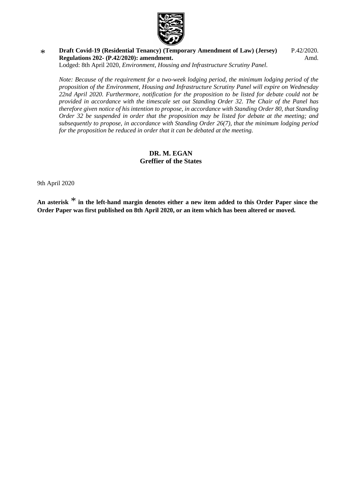

\* **[Draft Covid-19 \(Residential Tenancy\) \(Temporary Amendment of Law\) \(Jersey\)](https://statesassembly.gov.je/AssemblyPropositions/2020/P.42-2020Amd.pdf)  Regulations 202- [\(P.42/2020\): amendment.](https://statesassembly.gov.je/AssemblyPropositions/2020/P.42-2020Amd.pdf)** [P.42/2020.](https://statesassembly.gov.je/AssemblyPropositions/2020/P.42-2020Amd.pdf) [Amd.](https://statesassembly.gov.je/AssemblyPropositions/2020/P.42-2020Amd.pdf)

Lodged: 8th April 2020, *[Environment, Housing and Infrastructure Scrutiny Panel.](https://statesassembly.gov.je/AssemblyPropositions/2020/P.42-2020Amd.pdf)*

*Note: Because of the requirement for a two-week lodging period, the minimum lodging period of the proposition of the Environment, Housing and Infrastructure Scrutiny Panel will expire on Wednesday 22nd April 2020. Furthermore, notification for the proposition to be listed for debate could not be provided in accordance with the timescale set out Standing Order 32. The Chair of the Panel has therefore given notice of his intention to propose, in accordance with Standing Order 80, that Standing Order 32 be suspended in order that the proposition may be listed for debate at the meeting; and subsequently to propose, in accordance with Standing Order 26(7), that the minimum lodging period for the proposition be reduced in order that it can be debated at the meeting.*

#### **DR. M. EGAN Greffier of the States**

9th April 2020

**An asterisk** \* **in the left-hand margin denotes either a new item added to this Order Paper since the Order Paper was first published on 8th April 2020, or an item which has been altered or moved.**